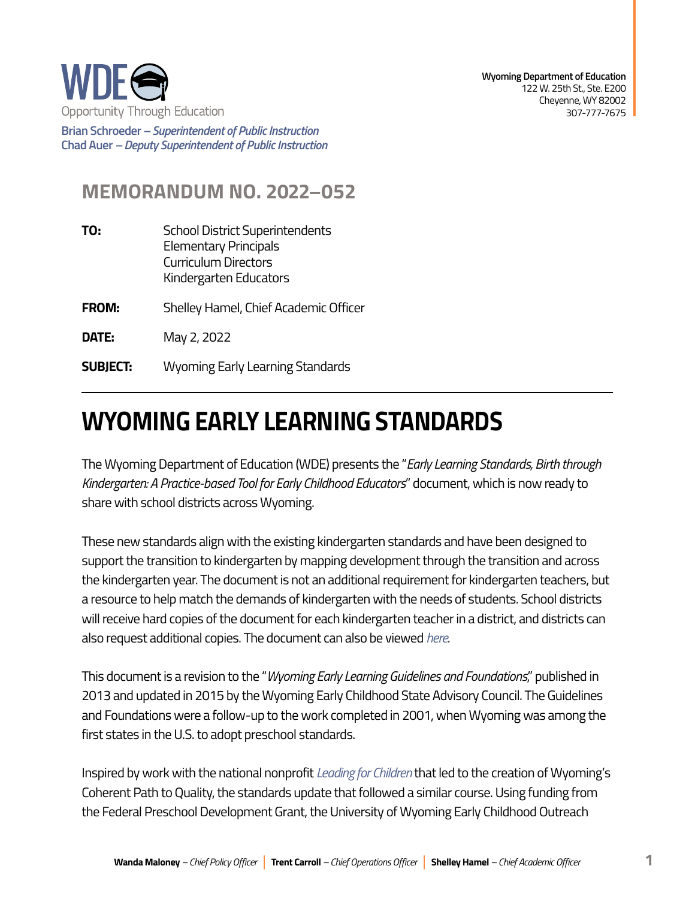

**Brian Schroeder –***Superintendent of Public Instruction*  **Chad Auer** *– Deputy Superintendent of Public Instruction* 

## **MEMORANDUM NO. 2022–052**

| TO:             | <b>School District Superintendents</b><br><b>Elementary Principals</b><br><b>Curriculum Directors</b><br>Kindergarten Educators |
|-----------------|---------------------------------------------------------------------------------------------------------------------------------|
| <b>FROM:</b>    | Shelley Hamel, Chief Academic Officer                                                                                           |
| DATE:           | May 2, 2022                                                                                                                     |
| <b>SUBJECT:</b> | <b>Wyoming Early Learning Standards</b>                                                                                         |

## **WYOMING EARLY LEARNING STANDARDS**

The Wyoming Department of Education (WDE) presents the "*Early Learning Standards, Birth through Kindergarten: A Practice-based Tool for Early Childhood Educators*" document, which is now ready to share with school districts across Wyoming.

These new standards align with the existing kindergarten standards and have been designed to support the transition to kindergarten by mapping development through the transition and across the kindergarten year. The document is not an additional requirement for kindergarten teachers, but a resource to help match the demands of kindergarten with the needs of students. School districts will receive hard copies of the document for each kindergarten teacher in a district, and districts can also request additional copies. The document can also be viewed *[here](http://wyecplc.org/index.php/professional-learning-library/wyoming-early-learning-standards)*.

This document is a revision to the "*Wyoming Early Learning Guidelines and Foundations*," published in 2013 and updated in 2015 by the Wyoming Early Childhood State Advisory Council. The Guidelines and Foundations were a follow-up to the work completed in 2001, when Wyoming was among the first states in the U.S. to adopt preschool standards.

Inspired by work with the national nonprofit *[Leading for Children](https://leadingforchildren.org/)* that led to the creation of Wyoming's Coherent Path to Quality, the standards update that followed a similar course. Using funding from the Federal Preschool Development Grant, the University of Wyoming Early Childhood Outreach